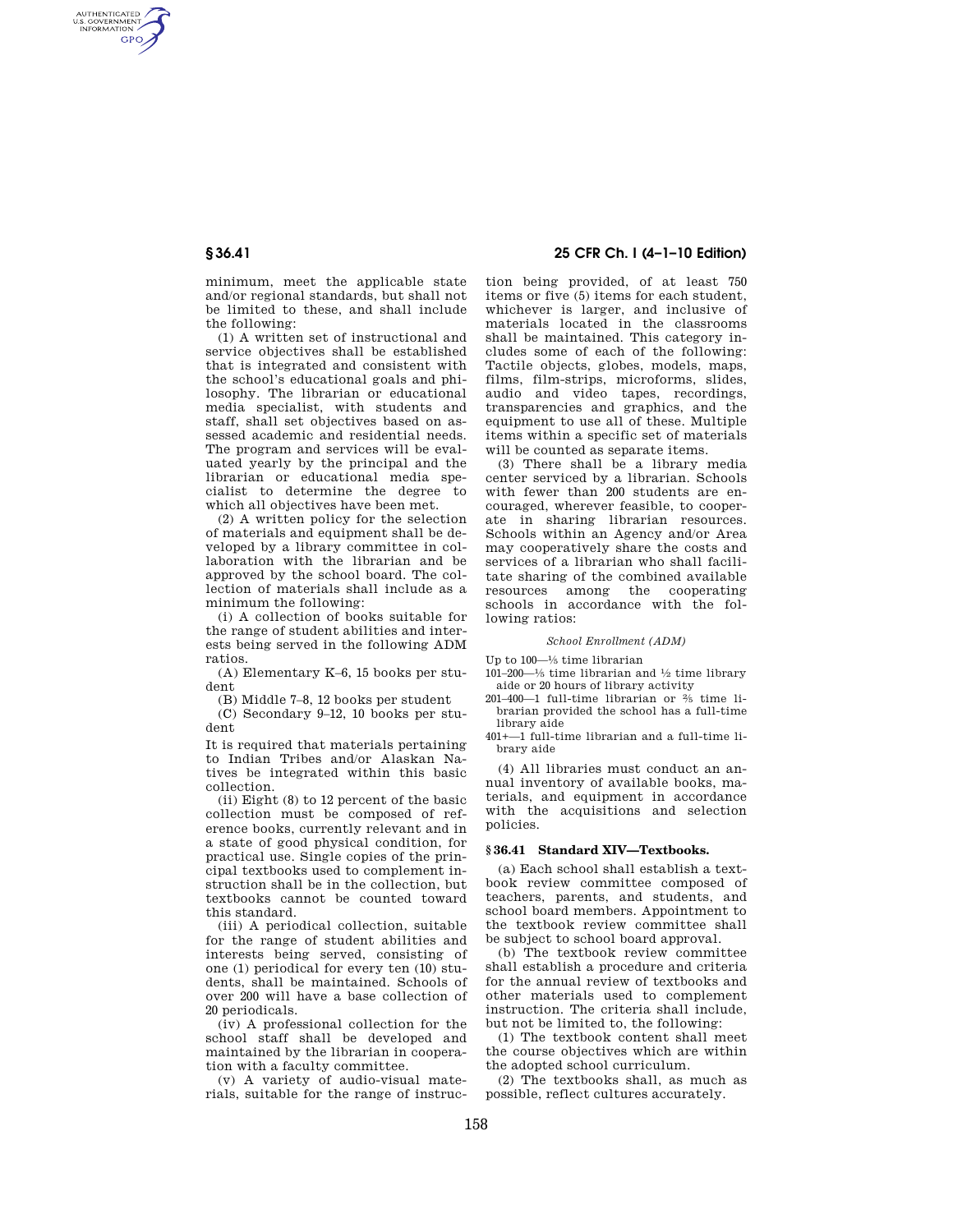AUTHENTICATED<br>U.S. GOVERNMENT<br>INFORMATION **GPO** 

> minimum, meet the applicable state and/or regional standards, but shall not be limited to these, and shall include the following:

> (1) A written set of instructional and service objectives shall be established that is integrated and consistent with the school's educational goals and philosophy. The librarian or educational media specialist, with students and staff, shall set objectives based on assessed academic and residential needs. The program and services will be evaluated yearly by the principal and the librarian or educational media specialist to determine the degree to which all objectives have been met.

> (2) A written policy for the selection of materials and equipment shall be developed by a library committee in collaboration with the librarian and be approved by the school board. The collection of materials shall include as a minimum the following:

> (i) A collection of books suitable for the range of student abilities and interests being served in the following ADM ratios.

> (A) Elementary K–6, 15 books per student

(B) Middle 7–8, 12 books per student

(C) Secondary 9–12, 10 books per student

It is required that materials pertaining to Indian Tribes and/or Alaskan Natives be integrated within this basic collection.

(ii) Eight (8) to 12 percent of the basic collection must be composed of reference books, currently relevant and in a state of good physical condition, for practical use. Single copies of the principal textbooks used to complement instruction shall be in the collection, but textbooks cannot be counted toward this standard.

(iii) A periodical collection, suitable for the range of student abilities and interests being served, consisting of one (1) periodical for every ten (10) students, shall be maintained. Schools of over 200 will have a base collection of 20 periodicals.

(iv) A professional collection for the school staff shall be developed and maintained by the librarian in cooperation with a faculty committee.

(v) A variety of audio-visual materials, suitable for the range of instruc-

# **§ 36.41 25 CFR Ch. I (4–1–10 Edition)**

tion being provided, of at least 750 items or five (5) items for each student, whichever is larger, and inclusive of materials located in the classrooms shall be maintained. This category includes some of each of the following: Tactile objects, globes, models, maps, films, film-strips, microforms, slides, audio and video tapes, recordings, transparencies and graphics, and the equipment to use all of these. Multiple items within a specific set of materials will be counted as separate items.

(3) There shall be a library media center serviced by a librarian. Schools with fewer than 200 students are encouraged, wherever feasible, to cooperate in sharing librarian resources. Schools within an Agency and/or Area may cooperatively share the costs and services of a librarian who shall facilitate sharing of the combined available resources among the cooperating schools in accordance with the following ratios:

### *School Enrollment (ADM)*

Up to 100—1⁄5 time librarian

- 101–200— $\frac{1}{5}$  time librarian and  $\frac{1}{2}$  time library aide or 20 hours of library activity
- 201–400—1 full-time librarian or 2⁄5 time librarian provided the school has a full-time library aide

401+—1 full-time librarian and a full-time library aide

(4) All libraries must conduct an annual inventory of available books, materials, and equipment in accordance with the acquisitions and selection policies.

### **§ 36.41 Standard XIV—Textbooks.**

(a) Each school shall establish a textbook review committee composed of teachers, parents, and students, and school board members. Appointment to the textbook review committee shall be subject to school board approval.

(b) The textbook review committee shall establish a procedure and criteria for the annual review of textbooks and other materials used to complement instruction. The criteria shall include, but not be limited to, the following:

(1) The textbook content shall meet the course objectives which are within the adopted school curriculum.

(2) The textbooks shall, as much as possible, reflect cultures accurately.